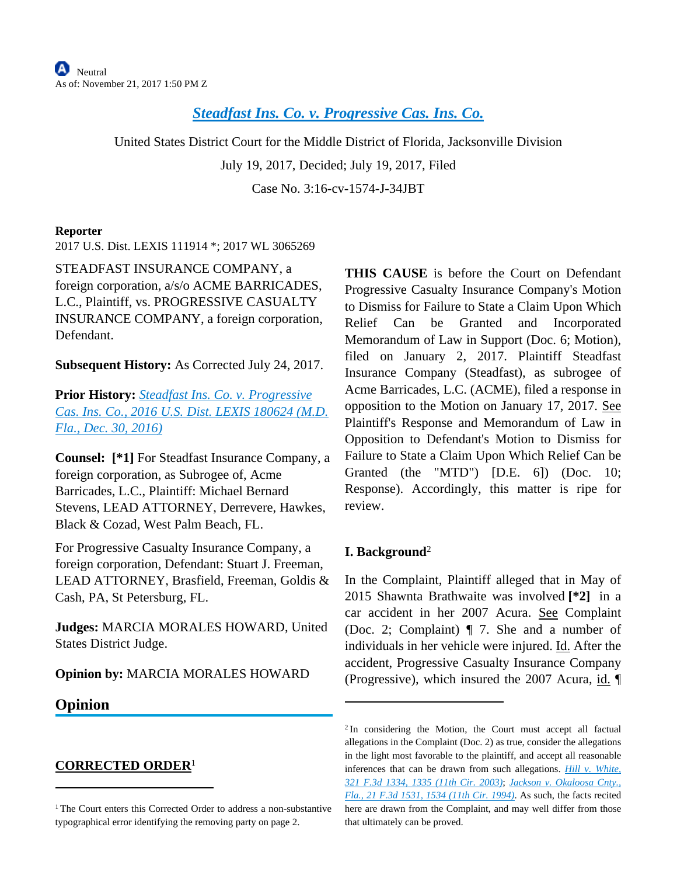# *[Steadfast Ins. Co. v. Progressive Cas. Ins. Co.](https://advance.lexis.com/api/document?collection=cases&id=urn:contentItem:5P28-3411-F04D-12TF-00000-00&context=)*

United States District Court for the Middle District of Florida, Jacksonville Division July 19, 2017, Decided; July 19, 2017, Filed Case No. 3:16-cv-1574-J-34JBT

#### **Reporter**

2017 U.S. Dist. LEXIS 111914 \*; 2017 WL 3065269

STEADFAST INSURANCE COMPANY, a foreign corporation, a/s/o ACME BARRICADES, L.C., Plaintiff, vs. PROGRESSIVE CASUALTY INSURANCE COMPANY, a foreign corporation, Defendant.

**Subsequent History:** As Corrected July 24, 2017.

**Prior History:** *[Steadfast Ins. Co. v. Progressive](https://advance.lexis.com/api/document?collection=cases&id=urn:contentItem:5MJ8-04N1-F04D-10BX-00000-00&context=)  [Cas. Ins. Co., 2016 U.S. Dist. LEXIS 180624 \(M.D.](https://advance.lexis.com/api/document?collection=cases&id=urn:contentItem:5MJ8-04N1-F04D-10BX-00000-00&context=)  [Fla., Dec. 30, 2016\)](https://advance.lexis.com/api/document?collection=cases&id=urn:contentItem:5MJ8-04N1-F04D-10BX-00000-00&context=)*

**Counsel: [\*1]** For Steadfast Insurance Company, a foreign corporation, as Subrogee of, Acme Barricades, L.C., Plaintiff: Michael Bernard Stevens, LEAD ATTORNEY, Derrevere, Hawkes, Black & Cozad, West Palm Beach, FL.

For Progressive Casualty Insurance Company, a foreign corporation, Defendant: Stuart J. Freeman, LEAD ATTORNEY, Brasfield, Freeman, Goldis & Cash, PA, St Petersburg, FL.

**Judges:** MARCIA MORALES HOWARD, United States District Judge.

### **Opinion by:** MARCIA MORALES HOWARD

## **Opinion**

### **CORRECTED ORDER**<sup>1</sup>

**THIS CAUSE** is before the Court on Defendant Progressive Casualty Insurance Company's Motion to Dismiss for Failure to State a Claim Upon Which Relief Can be Granted and Incorporated Memorandum of Law in Support (Doc. 6; Motion), filed on January 2, 2017. Plaintiff Steadfast Insurance Company (Steadfast), as subrogee of Acme Barricades, L.C. (ACME), filed a response in opposition to the Motion on January 17, 2017. See Plaintiff's Response and Memorandum of Law in Opposition to Defendant's Motion to Dismiss for Failure to State a Claim Upon Which Relief Can be Granted (the "MTD") [D.E. 6]) (Doc. 10; Response). Accordingly, this matter is ripe for review.

### **I. Background**<sup>2</sup>

In the Complaint, Plaintiff alleged that in May of 2015 Shawnta Brathwaite was involved **[\*2]** in a car accident in her 2007 Acura. See Complaint (Doc. 2; Complaint) ¶ 7. She and a number of individuals in her vehicle were injured. Id. After the accident, Progressive Casualty Insurance Company (Progressive), which insured the 2007 Acura, id. ¶

<sup>&</sup>lt;sup>1</sup>The Court enters this Corrected Order to address a non-substantive typographical error identifying the removing party on page 2.

<sup>&</sup>lt;sup>2</sup>In considering the Motion, the Court must accept all factual allegations in the Complaint (Doc. 2) as true, consider the allegations in the light most favorable to the plaintiff, and accept all reasonable inferences that can be drawn from such allegations. *[Hill v. White,](https://advance.lexis.com/api/document?collection=cases&id=urn:contentItem:47YX-KWV0-0038-X308-00000-00&context=)  [321 F.3d 1334, 1335 \(11th Cir. 2003\)](https://advance.lexis.com/api/document?collection=cases&id=urn:contentItem:47YX-KWV0-0038-X308-00000-00&context=)*; *[Jackson v. Okaloosa Cnty.,](https://advance.lexis.com/api/document?collection=cases&id=urn:contentItem:3S4X-5H50-003B-P168-00000-00&context=)  [Fla., 21 F.3d 1531, 1534 \(11th Cir. 1994\)](https://advance.lexis.com/api/document?collection=cases&id=urn:contentItem:3S4X-5H50-003B-P168-00000-00&context=)*. As such, the facts recited here are drawn from the Complaint, and may well differ from those that ultimately can be proved.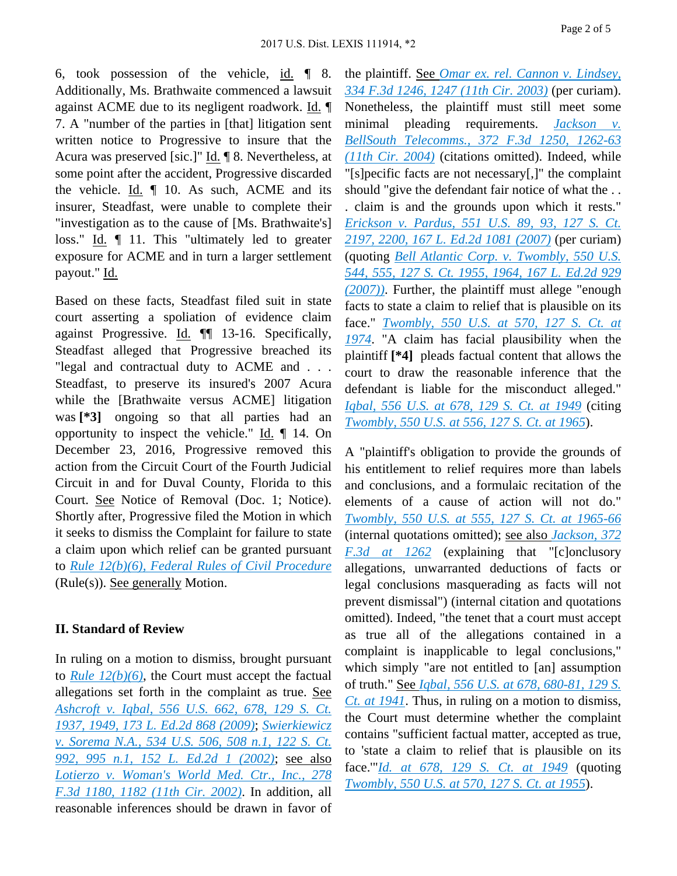6, took possession of the vehicle, id. ¶ 8. Additionally, Ms. Brathwaite commenced a lawsuit against ACME due to its negligent roadwork. Id. ¶ 7. A "number of the parties in [that] litigation sent written notice to Progressive to insure that the Acura was preserved [sic.]" Id. ¶ 8. Nevertheless, at some point after the accident, Progressive discarded the vehicle. Id. ¶ 10. As such, ACME and its insurer, Steadfast, were unable to complete their "investigation as to the cause of [Ms. Brathwaite's] loss." Id. ¶ 11. This "ultimately led to greater exposure for ACME and in turn a larger settlement payout." Id.

Based on these facts, Steadfast filed suit in state court asserting a spoliation of evidence claim against Progressive. Id. ¶¶ 13-16. Specifically, Steadfast alleged that Progressive breached its "legal and contractual duty to ACME and . . . Steadfast, to preserve its insured's 2007 Acura while the [Brathwaite versus ACME] litigation was **[\*3]** ongoing so that all parties had an opportunity to inspect the vehicle." Id. ¶ 14. On December 23, 2016, Progressive removed this action from the Circuit Court of the Fourth Judicial Circuit in and for Duval County, Florida to this Court. See Notice of Removal (Doc. 1; Notice). Shortly after, Progressive filed the Motion in which it seeks to dismiss the Complaint for failure to state a claim upon which relief can be granted pursuant to *[Rule 12\(b\)\(6\), Federal Rules of Civil Procedure](https://advance.lexis.com/api/document?collection=statutes-legislation&id=urn:contentItem:5GYC-1WP1-6N19-F0YW-00000-00&context=)* (Rule(s)). See generally Motion.

### **II. Standard of Review**

In ruling on a motion to dismiss, brought pursuant to *[Rule 12\(b\)\(6\)](https://advance.lexis.com/api/document?collection=statutes-legislation&id=urn:contentItem:5GYC-1WP1-6N19-F0YW-00000-00&context=)*, the Court must accept the factual allegations set forth in the complaint as true. See *[Ashcroft v. Iqbal, 556 U.S. 662, 678, 129 S. Ct.](https://advance.lexis.com/api/document?collection=cases&id=urn:contentItem:4W9Y-4KS0-TXFX-1325-00000-00&context=)  [1937, 1949, 173 L. Ed.2d 868 \(2009\)](https://advance.lexis.com/api/document?collection=cases&id=urn:contentItem:4W9Y-4KS0-TXFX-1325-00000-00&context=)*; *[Swierkiewicz](https://advance.lexis.com/api/document?collection=cases&id=urn:contentItem:457B-SHV0-004C-003J-00000-00&context=)  [v. Sorema N.A., 534 U.S. 506, 508 n.1, 122 S. Ct.](https://advance.lexis.com/api/document?collection=cases&id=urn:contentItem:457B-SHV0-004C-003J-00000-00&context=)  [992, 995 n.1, 152 L. Ed.2d 1 \(2002\)](https://advance.lexis.com/api/document?collection=cases&id=urn:contentItem:457B-SHV0-004C-003J-00000-00&context=)*; see also *[Lotierzo v. Woman's World Med. Ctr., Inc., 278](https://advance.lexis.com/api/document?collection=cases&id=urn:contentItem:44VX-H3J0-0038-X09J-00000-00&context=)  [F.3d 1180, 1182 \(11th Cir. 2002\)](https://advance.lexis.com/api/document?collection=cases&id=urn:contentItem:44VX-H3J0-0038-X09J-00000-00&context=)*. In addition, all reasonable inferences should be drawn in favor of the plaintiff. See *[Omar ex. rel. Cannon v. Lindsey,](https://advance.lexis.com/api/document?collection=cases&id=urn:contentItem:48Y0-X520-0038-X027-00000-00&context=)  [334 F.3d 1246, 1247 \(11th Cir. 2003\)](https://advance.lexis.com/api/document?collection=cases&id=urn:contentItem:48Y0-X520-0038-X027-00000-00&context=)* (per curiam). Nonetheless, the plaintiff must still meet some minimal pleading requirements. *[Jackson v.](https://advance.lexis.com/api/document?collection=cases&id=urn:contentItem:4CMB-D420-0038-X2SX-00000-00&context=)  [BellSouth Telecomms., 372 F.3d 1250, 1262-63](https://advance.lexis.com/api/document?collection=cases&id=urn:contentItem:4CMB-D420-0038-X2SX-00000-00&context=)  [\(11th Cir. 2004\)](https://advance.lexis.com/api/document?collection=cases&id=urn:contentItem:4CMB-D420-0038-X2SX-00000-00&context=)* (citations omitted). Indeed, while "[s]pecific facts are not necessary[,]" the complaint should "give the defendant fair notice of what the . . . claim is and the grounds upon which it rests." *[Erickson v. Pardus, 551 U.S. 89, 93, 127 S. Ct.](https://advance.lexis.com/api/document?collection=cases&id=urn:contentItem:4NWM-S330-004B-Y00V-00000-00&context=)  [2197, 2200, 167 L. Ed.2d 1081 \(2007\)](https://advance.lexis.com/api/document?collection=cases&id=urn:contentItem:4NWM-S330-004B-Y00V-00000-00&context=)* (per curiam) (quoting *[Bell Atlantic Corp. v. Twombly, 550 U.S.](https://advance.lexis.com/api/document?collection=cases&id=urn:contentItem:4NSN-8840-004C-002M-00000-00&context=)  [544, 555, 127 S. Ct. 1955, 1964, 167 L. Ed.2d 929](https://advance.lexis.com/api/document?collection=cases&id=urn:contentItem:4NSN-8840-004C-002M-00000-00&context=)  [\(2007\)\)](https://advance.lexis.com/api/document?collection=cases&id=urn:contentItem:4NSN-8840-004C-002M-00000-00&context=)*. Further, the plaintiff must allege "enough facts to state a claim to relief that is plausible on its face." *[Twombly, 550 U.S. at 570, 127 S. Ct. at](https://advance.lexis.com/api/document?collection=cases&id=urn:contentItem:4NSN-8840-004C-002M-00000-00&context=)  [1974](https://advance.lexis.com/api/document?collection=cases&id=urn:contentItem:4NSN-8840-004C-002M-00000-00&context=)*. "A claim has facial plausibility when the plaintiff **[\*4]** pleads factual content that allows the court to draw the reasonable inference that the defendant is liable for the misconduct alleged." *[Iqbal, 556 U.S. at 678, 129 S. Ct. at 1949](https://advance.lexis.com/api/document?collection=cases&id=urn:contentItem:4W9Y-4KS0-TXFX-1325-00000-00&context=)* (citing *[Twombly, 550 U.S. at 556, 127 S. Ct. at 1965](https://advance.lexis.com/api/document?collection=cases&id=urn:contentItem:4NSN-8840-004C-002M-00000-00&context=)*).

A "plaintiff's obligation to provide the grounds of his entitlement to relief requires more than labels and conclusions, and a formulaic recitation of the elements of a cause of action will not do." *[Twombly, 550 U.S. at 555, 127 S. Ct. at 1965-66](https://advance.lexis.com/api/document?collection=cases&id=urn:contentItem:4NSN-8840-004C-002M-00000-00&context=)* (internal quotations omitted); see also *[Jackson, 372](https://advance.lexis.com/api/document?collection=cases&id=urn:contentItem:4CMB-D420-0038-X2SX-00000-00&context=)  [F.3d at 1262](https://advance.lexis.com/api/document?collection=cases&id=urn:contentItem:4CMB-D420-0038-X2SX-00000-00&context=)* (explaining that "[c]onclusory allegations, unwarranted deductions of facts or legal conclusions masquerading as facts will not prevent dismissal") (internal citation and quotations omitted). Indeed, "the tenet that a court must accept as true all of the allegations contained in a complaint is inapplicable to legal conclusions," which simply "are not entitled to [an] assumption of truth." See *[Iqbal, 556 U.S. at 678, 680-81, 129 S.](https://advance.lexis.com/api/document?collection=cases&id=urn:contentItem:4W9Y-4KS0-TXFX-1325-00000-00&context=)  [Ct. at 1941](https://advance.lexis.com/api/document?collection=cases&id=urn:contentItem:4W9Y-4KS0-TXFX-1325-00000-00&context=)*. Thus, in ruling on a motion to dismiss, the Court must determine whether the complaint contains "sufficient factual matter, accepted as true, to 'state a claim to relief that is plausible on its face.'"*[Id. at 678, 129 S. Ct. at 1949](https://advance.lexis.com/api/document?collection=cases&id=urn:contentItem:4W9Y-4KS0-TXFX-1325-00000-00&context=)* (quoting *[Twombly, 550 U.S. at 570, 127 S. Ct. at 1955](https://advance.lexis.com/api/document?collection=cases&id=urn:contentItem:4NSN-8840-004C-002M-00000-00&context=)*).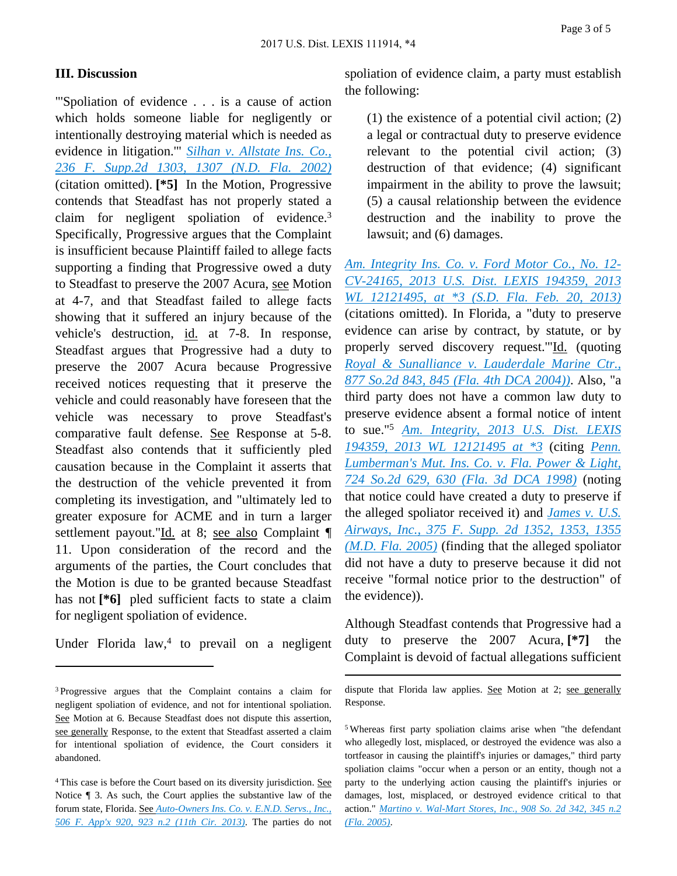#### **III. Discussion**

"'Spoliation of evidence . . . is a cause of action which holds someone liable for negligently or intentionally destroying material which is needed as evidence in litigation.'" *[Silhan v. Allstate Ins. Co.,](https://advance.lexis.com/api/document?collection=cases&id=urn:contentItem:47F2-C8D0-0038-Y104-00000-00&context=)  [236 F. Supp.2d 1303, 1307 \(N.D. Fla. 2002\)](https://advance.lexis.com/api/document?collection=cases&id=urn:contentItem:47F2-C8D0-0038-Y104-00000-00&context=)* (citation omitted). **[\*5]** In the Motion, Progressive contends that Steadfast has not properly stated a claim for negligent spoliation of evidence.<sup>3</sup> Specifically, Progressive argues that the Complaint is insufficient because Plaintiff failed to allege facts supporting a finding that Progressive owed a duty to Steadfast to preserve the 2007 Acura, see Motion at 4-7, and that Steadfast failed to allege facts showing that it suffered an injury because of the vehicle's destruction, id. at 7-8. In response, Steadfast argues that Progressive had a duty to preserve the 2007 Acura because Progressive received notices requesting that it preserve the vehicle and could reasonably have foreseen that the vehicle was necessary to prove Steadfast's comparative fault defense. See Response at 5-8. Steadfast also contends that it sufficiently pled causation because in the Complaint it asserts that the destruction of the vehicle prevented it from completing its investigation, and "ultimately led to greater exposure for ACME and in turn a larger settlement payout."Id. at 8; see also Complaint ¶ 11. Upon consideration of the record and the arguments of the parties, the Court concludes that the Motion is due to be granted because Steadfast has not **[\*6]** pled sufficient facts to state a claim for negligent spoliation of evidence.

Under Florida  $law<sup>4</sup>$  to prevail on a negligent

spoliation of evidence claim, a party must establish the following:

(1) the existence of a potential civil action; (2) a legal or contractual duty to preserve evidence relevant to the potential civil action; (3) destruction of that evidence; (4) significant impairment in the ability to prove the lawsuit; (5) a causal relationship between the evidence destruction and the inability to prove the lawsuit; and (6) damages.

*[Am. Integrity Ins. Co. v. Ford Motor Co., No. 12-](https://advance.lexis.com/api/document?collection=cases&id=urn:contentItem:5M7Y-XY21-F04D-10P0-00000-00&context=) [CV-24165, 2013 U.S. Dist. LEXIS 194359, 2013](https://advance.lexis.com/api/document?collection=cases&id=urn:contentItem:5M7Y-XY21-F04D-10P0-00000-00&context=)  [WL 12121495, at \\*3 \(S.D. Fla. Feb. 20, 2013\)](https://advance.lexis.com/api/document?collection=cases&id=urn:contentItem:5M7Y-XY21-F04D-10P0-00000-00&context=)* (citations omitted). In Florida, a "duty to preserve evidence can arise by contract, by statute, or by properly served discovery request.'"Id. (quoting *[Royal & Sunalliance v. Lauderdale Marine Ctr.,](https://advance.lexis.com/api/document?collection=cases&id=urn:contentItem:4CT6-SYJ0-0039-446K-00000-00&context=)  [877 So.2d 843, 845 \(Fla. 4th DCA 2004\)\)](https://advance.lexis.com/api/document?collection=cases&id=urn:contentItem:4CT6-SYJ0-0039-446K-00000-00&context=)*. Also, "a third party does not have a common law duty to preserve evidence absent a formal notice of intent to sue."<sup>5</sup> *[Am. Integrity, 2013 U.S. Dist. LEXIS](https://advance.lexis.com/api/document?collection=cases&id=urn:contentItem:5M7Y-XY21-F04D-10P0-00000-00&context=)  [194359, 2013 WL 12121495 at \\*3](https://advance.lexis.com/api/document?collection=cases&id=urn:contentItem:5M7Y-XY21-F04D-10P0-00000-00&context=)* (citing *[Penn.](https://advance.lexis.com/api/document?collection=cases&id=urn:contentItem:3VH0-JKP0-0039-44SH-00000-00&context=)  [Lumberman's Mut. Ins. Co. v. Fla. Power & Light,](https://advance.lexis.com/api/document?collection=cases&id=urn:contentItem:3VH0-JKP0-0039-44SH-00000-00&context=)  [724 So.2d 629, 630 \(Fla. 3d DCA 1998\)](https://advance.lexis.com/api/document?collection=cases&id=urn:contentItem:3VH0-JKP0-0039-44SH-00000-00&context=)* (noting that notice could have created a duty to preserve if the alleged spoliator received it) and *[James v. U.S.](https://advance.lexis.com/api/document?collection=cases&id=urn:contentItem:4GY8-1DM0-TVTD-02JW-00000-00&context=)  [Airways, Inc., 375 F. Supp. 2d 1352, 1353, 1355](https://advance.lexis.com/api/document?collection=cases&id=urn:contentItem:4GY8-1DM0-TVTD-02JW-00000-00&context=)  [\(M.D. Fla. 2005\)](https://advance.lexis.com/api/document?collection=cases&id=urn:contentItem:4GY8-1DM0-TVTD-02JW-00000-00&context=)* (finding that the alleged spoliator did not have a duty to preserve because it did not receive "formal notice prior to the destruction" of the evidence)).

Although Steadfast contends that Progressive had a duty to preserve the 2007 Acura, **[\*7]** the Complaint is devoid of factual allegations sufficient

<sup>3</sup>Progressive argues that the Complaint contains a claim for negligent spoliation of evidence, and not for intentional spoliation. See Motion at 6. Because Steadfast does not dispute this assertion, see generally Response, to the extent that Steadfast asserted a claim for intentional spoliation of evidence, the Court considers it abandoned.

<sup>4</sup>This case is before the Court based on its diversity jurisdiction. See Notice ¶ 3. As such, the Court applies the substantive law of the forum state, Florida. See *[Auto-Owners Ins. Co. v. E.N.D. Servs., Inc.,](https://advance.lexis.com/api/document?collection=cases&id=urn:contentItem:57NY-11X1-F04K-X06C-00000-00&context=)  [506 F. App'x 920, 923 n.2 \(11th Cir. 2013\)](https://advance.lexis.com/api/document?collection=cases&id=urn:contentItem:57NY-11X1-F04K-X06C-00000-00&context=)*. The parties do not

dispute that Florida law applies. See Motion at 2; see generally Response.

<sup>5</sup>Whereas first party spoliation claims arise when "the defendant who allegedly lost, misplaced, or destroyed the evidence was also a tortfeasor in causing the plaintiff's injuries or damages," third party spoliation claims "occur when a person or an entity, though not a party to the underlying action causing the plaintiff's injuries or damages, lost, misplaced, or destroyed evidence critical to that action." *[Martino v. Wal-Mart Stores, Inc., 908 So. 2d 342, 345 n.2](https://advance.lexis.com/api/document?collection=cases&id=urn:contentItem:4GK3-3JD0-0039-40KG-00000-00&context=)  [\(Fla. 2005\)](https://advance.lexis.com/api/document?collection=cases&id=urn:contentItem:4GK3-3JD0-0039-40KG-00000-00&context=)*.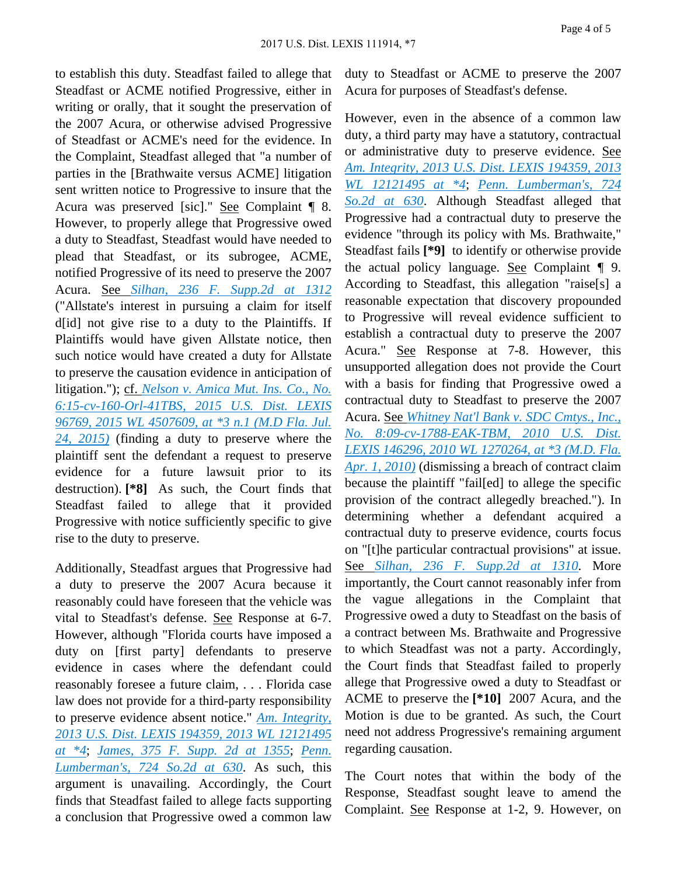to establish this duty. Steadfast failed to allege that Steadfast or ACME notified Progressive, either in writing or orally, that it sought the preservation of the 2007 Acura, or otherwise advised Progressive of Steadfast or ACME's need for the evidence. In the Complaint, Steadfast alleged that "a number of parties in the [Brathwaite versus ACME] litigation sent written notice to Progressive to insure that the Acura was preserved [sic]." See Complaint ¶ 8. However, to properly allege that Progressive owed a duty to Steadfast, Steadfast would have needed to plead that Steadfast, or its subrogee, ACME, notified Progressive of its need to preserve the 2007 Acura. See *[Silhan, 236 F. Supp.2d at 1312](https://advance.lexis.com/api/document?collection=cases&id=urn:contentItem:47F2-C8D0-0038-Y104-00000-00&context=)* ("Allstate's interest in pursuing a claim for itself d[id] not give rise to a duty to the Plaintiffs. If Plaintiffs would have given Allstate notice, then such notice would have created a duty for Allstate to preserve the causation evidence in anticipation of litigation."); cf. *[Nelson v. Amica Mut. Ins. Co., No.](https://advance.lexis.com/api/document?collection=cases&id=urn:contentItem:5GHJ-HB81-F04D-11KR-00000-00&context=)  [6:15-cv-160-Orl-41TBS, 2015 U.S. Dist. LEXIS](https://advance.lexis.com/api/document?collection=cases&id=urn:contentItem:5GHJ-HB81-F04D-11KR-00000-00&context=)  [96769, 2015 WL 4507609, at \\*3 n.1 \(M.D Fla. Jul.](https://advance.lexis.com/api/document?collection=cases&id=urn:contentItem:5GHJ-HB81-F04D-11KR-00000-00&context=)  [24, 2015\)](https://advance.lexis.com/api/document?collection=cases&id=urn:contentItem:5GHJ-HB81-F04D-11KR-00000-00&context=)* (finding a duty to preserve where the plaintiff sent the defendant a request to preserve evidence for a future lawsuit prior to its destruction). **[\*8]** As such, the Court finds that Steadfast failed to allege that it provided Progressive with notice sufficiently specific to give rise to the duty to preserve.

Additionally, Steadfast argues that Progressive had a duty to preserve the 2007 Acura because it reasonably could have foreseen that the vehicle was vital to Steadfast's defense. See Response at 6-7. However, although "Florida courts have imposed a duty on [first party] defendants to preserve evidence in cases where the defendant could reasonably foresee a future claim, . . . Florida case law does not provide for a third-party responsibility to preserve evidence absent notice." *[Am. Integrity,](https://advance.lexis.com/api/document?collection=cases&id=urn:contentItem:5M7Y-XY21-F04D-10P0-00000-00&context=)  [2013 U.S. Dist. LEXIS 194359, 2013 WL 12121495](https://advance.lexis.com/api/document?collection=cases&id=urn:contentItem:5M7Y-XY21-F04D-10P0-00000-00&context=)  [at \\*4](https://advance.lexis.com/api/document?collection=cases&id=urn:contentItem:5M7Y-XY21-F04D-10P0-00000-00&context=)*; *[James, 375 F. Supp. 2d at 1355](https://advance.lexis.com/api/document?collection=cases&id=urn:contentItem:4GY8-1DM0-TVTD-02JW-00000-00&context=)*; *[Penn.](https://advance.lexis.com/api/document?collection=cases&id=urn:contentItem:3VH0-JKP0-0039-44SH-00000-00&context=)  [Lumberman's, 724 So.2d at 630](https://advance.lexis.com/api/document?collection=cases&id=urn:contentItem:3VH0-JKP0-0039-44SH-00000-00&context=)*. As such, this argument is unavailing. Accordingly, the Court finds that Steadfast failed to allege facts supporting a conclusion that Progressive owed a common law

duty to Steadfast or ACME to preserve the 2007 Acura for purposes of Steadfast's defense.

However, even in the absence of a common law duty, a third party may have a statutory, contractual or administrative duty to preserve evidence. See *[Am. Integrity, 2013 U.S. Dist. LEXIS 194359, 2013](https://advance.lexis.com/api/document?collection=cases&id=urn:contentItem:5M7Y-XY21-F04D-10P0-00000-00&context=)  [WL 12121495 at \\*4](https://advance.lexis.com/api/document?collection=cases&id=urn:contentItem:5M7Y-XY21-F04D-10P0-00000-00&context=)*; *[Penn. Lumberman's, 724](https://advance.lexis.com/api/document?collection=cases&id=urn:contentItem:3VH0-JKP0-0039-44SH-00000-00&context=)  [So.2d at 630](https://advance.lexis.com/api/document?collection=cases&id=urn:contentItem:3VH0-JKP0-0039-44SH-00000-00&context=)*. Although Steadfast alleged that Progressive had a contractual duty to preserve the evidence "through its policy with Ms. Brathwaite," Steadfast fails **[\*9]** to identify or otherwise provide the actual policy language. See Complaint ¶ 9. According to Steadfast, this allegation "raise[s] a reasonable expectation that discovery propounded to Progressive will reveal evidence sufficient to establish a contractual duty to preserve the 2007 Acura." See Response at 7-8. However, this unsupported allegation does not provide the Court with a basis for finding that Progressive owed a contractual duty to Steadfast to preserve the 2007 Acura. See *[Whitney Nat'l Bank v. SDC Cmtys., Inc.,](https://advance.lexis.com/api/document?collection=cases&id=urn:contentItem:5DHT-4XK1-F04D-100M-00000-00&context=)  [No. 8:09-cv-1788-EAK-TBM, 2010 U.S. Dist.](https://advance.lexis.com/api/document?collection=cases&id=urn:contentItem:5DHT-4XK1-F04D-100M-00000-00&context=)  [LEXIS 146296, 2010 WL 1270264, at \\*3 \(M.D. Fla.](https://advance.lexis.com/api/document?collection=cases&id=urn:contentItem:5DHT-4XK1-F04D-100M-00000-00&context=)  [Apr. 1, 2010\)](https://advance.lexis.com/api/document?collection=cases&id=urn:contentItem:5DHT-4XK1-F04D-100M-00000-00&context=)* (dismissing a breach of contract claim because the plaintiff "fail[ed] to allege the specific provision of the contract allegedly breached."). In determining whether a defendant acquired a contractual duty to preserve evidence, courts focus on "[t]he particular contractual provisions" at issue. See *[Silhan, 236 F. Supp.2d at 1310](https://advance.lexis.com/api/document?collection=cases&id=urn:contentItem:47F2-C8D0-0038-Y104-00000-00&context=)*. More importantly, the Court cannot reasonably infer from the vague allegations in the Complaint that Progressive owed a duty to Steadfast on the basis of a contract between Ms. Brathwaite and Progressive to which Steadfast was not a party. Accordingly, the Court finds that Steadfast failed to properly allege that Progressive owed a duty to Steadfast or ACME to preserve the **[\*10]** 2007 Acura, and the Motion is due to be granted. As such, the Court need not address Progressive's remaining argument regarding causation.

The Court notes that within the body of the Response, Steadfast sought leave to amend the Complaint. See Response at 1-2, 9. However, on